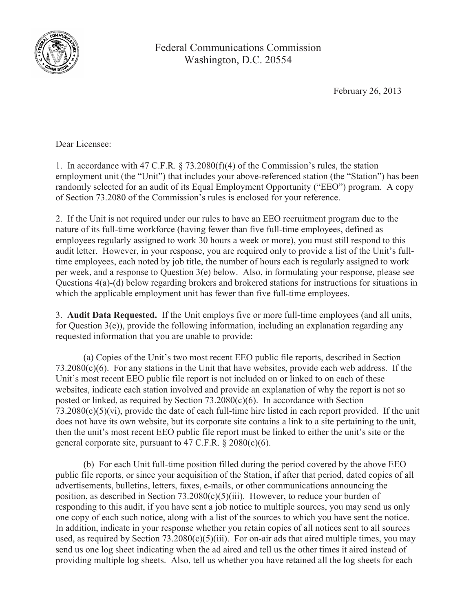

Federal Communications Commission Washington, D.C. 20554

February 26, 2013

Dear Licensee:

1. In accordance with 47 C.F.R. § 73.2080(f)(4) of the Commission's rules, the station employment unit (the "Unit") that includes your above-referenced station (the "Station") has been randomly selected for an audit of its Equal Employment Opportunity ("EEO") program. A copy of Section 73.2080 of the Commission's rules is enclosed for your reference.

2. If the Unit is not required under our rules to have an EEO recruitment program due to the nature of its full-time workforce (having fewer than five full-time employees, defined as employees regularly assigned to work 30 hours a week or more), you must still respond to this audit letter. However, in your response, you are required only to provide a list of the Unit's fulltime employees, each noted by job title, the number of hours each is regularly assigned to work per week, and a response to Question 3(e) below. Also, in formulating your response, please see Questions 4(a)-(d) below regarding brokers and brokered stations for instructions for situations in which the applicable employment unit has fewer than five full-time employees.

3. **Audit Data Requested.** If the Unit employs five or more full-time employees (and all units, for Question 3(e)), provide the following information, including an explanation regarding any requested information that you are unable to provide:

(a) Copies of the Unit's two most recent EEO public file reports, described in Section  $73.2080(c)(6)$ . For any stations in the Unit that have websites, provide each web address. If the Unit's most recent EEO public file report is not included on or linked to on each of these websites, indicate each station involved and provide an explanation of why the report is not so posted or linked, as required by Section 73.2080(c)(6). In accordance with Section 73.2080(c)(5)(vi), provide the date of each full-time hire listed in each report provided. If the unit does not have its own website, but its corporate site contains a link to a site pertaining to the unit, then the unit's most recent EEO public file report must be linked to either the unit's site or the general corporate site, pursuant to 47 C.F.R.  $\S 2080(c)(6)$ .

(b) For each Unit full-time position filled during the period covered by the above EEO public file reports, or since your acquisition of the Station, if after that period, dated copies of all advertisements, bulletins, letters, faxes, e-mails, or other communications announcing the position, as described in Section  $73.2080(c)(5)(iii)$ . However, to reduce your burden of responding to this audit, if you have sent a job notice to multiple sources, you may send us only one copy of each such notice, along with a list of the sources to which you have sent the notice. In addition, indicate in your response whether you retain copies of all notices sent to all sources used, as required by Section  $73.2080(c)(5)(iii)$ . For on-air ads that aired multiple times, you may send us one log sheet indicating when the ad aired and tell us the other times it aired instead of providing multiple log sheets. Also, tell us whether you have retained all the log sheets for each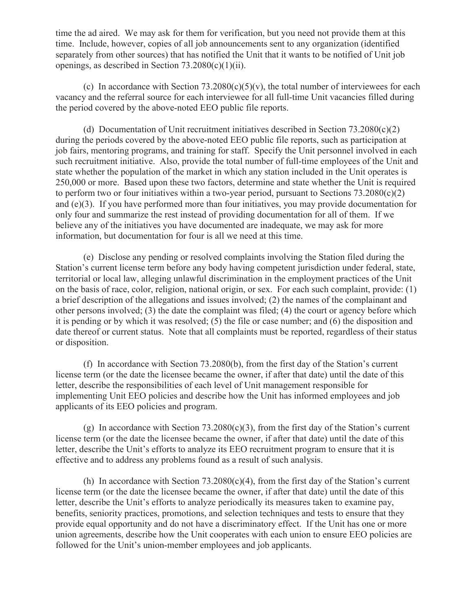time the ad aired. We may ask for them for verification, but you need not provide them at this time. Include, however, copies of all job announcements sent to any organization (identified separately from other sources) that has notified the Unit that it wants to be notified of Unit job openings, as described in Section 73.2080(c)(1)(ii).

(c) In accordance with Section 73.2080(c)(5)(v), the total number of interviewees for each vacancy and the referral source for each interviewee for all full-time Unit vacancies filled during the period covered by the above-noted EEO public file reports.

(d) Documentation of Unit recruitment initiatives described in Section  $73.2080(c)(2)$ during the periods covered by the above-noted EEO public file reports, such as participation at job fairs, mentoring programs, and training for staff. Specify the Unit personnel involved in each such recruitment initiative. Also, provide the total number of full-time employees of the Unit and state whether the population of the market in which any station included in the Unit operates is 250,000 or more. Based upon these two factors, determine and state whether the Unit is required to perform two or four initiatives within a two-year period, pursuant to Sections  $73.2080(c)(2)$ and (e)(3). If you have performed more than four initiatives, you may provide documentation for only four and summarize the rest instead of providing documentation for all of them. If we believe any of the initiatives you have documented are inadequate, we may ask for more information, but documentation for four is all we need at this time.

(e) Disclose any pending or resolved complaints involving the Station filed during the Station's current license term before any body having competent jurisdiction under federal, state, territorial or local law, alleging unlawful discrimination in the employment practices of the Unit on the basis of race, color, religion, national origin, or sex. For each such complaint, provide: (1) a brief description of the allegations and issues involved; (2) the names of the complainant and other persons involved; (3) the date the complaint was filed; (4) the court or agency before which it is pending or by which it was resolved; (5) the file or case number; and (6) the disposition and date thereof or current status. Note that all complaints must be reported, regardless of their status or disposition.

(f) In accordance with Section 73.2080(b), from the first day of the Station's current license term (or the date the licensee became the owner, if after that date) until the date of this letter, describe the responsibilities of each level of Unit management responsible for implementing Unit EEO policies and describe how the Unit has informed employees and job applicants of its EEO policies and program.

(g) In accordance with Section 73.2080(c)(3), from the first day of the Station's current license term (or the date the licensee became the owner, if after that date) until the date of this letter, describe the Unit's efforts to analyze its EEO recruitment program to ensure that it is effective and to address any problems found as a result of such analysis.

(h) In accordance with Section 73.2080(c)(4), from the first day of the Station's current license term (or the date the licensee became the owner, if after that date) until the date of this letter, describe the Unit's efforts to analyze periodically its measures taken to examine pay, benefits, seniority practices, promotions, and selection techniques and tests to ensure that they provide equal opportunity and do not have a discriminatory effect. If the Unit has one or more union agreements, describe how the Unit cooperates with each union to ensure EEO policies are followed for the Unit's union-member employees and job applicants.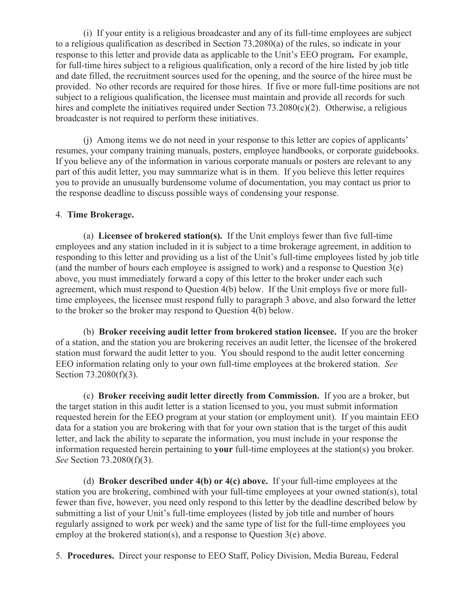(i) If your entity is a religious broadcaster and any of its full-time employees are subject to a religious qualification as described in Section 73.2080(a) of the rules, so indicate in your response to this letter and provide data as applicable to the Unit's EEO program**.** For example, for full-time hires subject to a religious qualification, only a record of the hire listed by job title and date filled, the recruitment sources used for the opening, and the source of the hiree must be provided. No other records are required for those hires. If five or more full-time positions are not subject to a religious qualification, the licensee must maintain and provide all records for such hires and complete the initiatives required under Section  $73.2080(c)(2)$ . Otherwise, a religious broadcaster is not required to perform these initiatives.

(j) Among items we do not need in your response to this letter are copies of applicants' resumes, your company training manuals, posters, employee handbooks, or corporate guidebooks. If you believe any of the information in various corporate manuals or posters are relevant to any part of this audit letter, you may summarize what is in them. If you believe this letter requires you to provide an unusually burdensome volume of documentation, you may contact us prior to the response deadline to discuss possible ways of condensing your response.

## 4. **Time Brokerage.**

(a) **Licensee of brokered station(s).** If the Unit employs fewer than five full-time employees and any station included in it is subject to a time brokerage agreement, in addition to responding to this letter and providing us a list of the Unit's full-time employees listed by job title (and the number of hours each employee is assigned to work) and a response to Question  $3(e)$ above, you must immediately forward a copy of this letter to the broker under each such agreement, which must respond to Question 4(b) below. If the Unit employs five or more fulltime employees, the licensee must respond fully to paragraph 3 above, and also forward the letter to the broker so the broker may respond to Question 4(b) below.

(b) **Broker receiving audit letter from brokered station licensee.** If you are the broker of a station, and the station you are brokering receives an audit letter, the licensee of the brokered station must forward the audit letter to you. You should respond to the audit letter concerning EEO information relating only to your own full-time employees at the brokered station. *See* Section 73.2080(f)(3).

(c) **Broker receiving audit letter directly from Commission.** If you are a broker, but the target station in this audit letter is a station licensed to you, you must submit information requested herein for the EEO program at your station (or employment unit). If you maintain EEO data for a station you are brokering with that for your own station that is the target of this audit letter, and lack the ability to separate the information, you must include in your response the information requested herein pertaining to **your** full-time employees at the station(s) you broker. *See* Section 73.2080(f)(3).

(d) **Broker described under 4(b) or 4(c) above.** If your full-time employees at the station you are brokering, combined with your full-time employees at your owned station(s), total fewer than five, however, you need only respond to this letter by the deadline described below by submitting a list of your Unit's full-time employees (listed by job title and number of hours regularly assigned to work per week) and the same type of list for the full-time employees you employ at the brokered station(s), and a response to Question 3(e) above.

5. **Procedures.** Direct your response to EEO Staff, Policy Division, Media Bureau, Federal